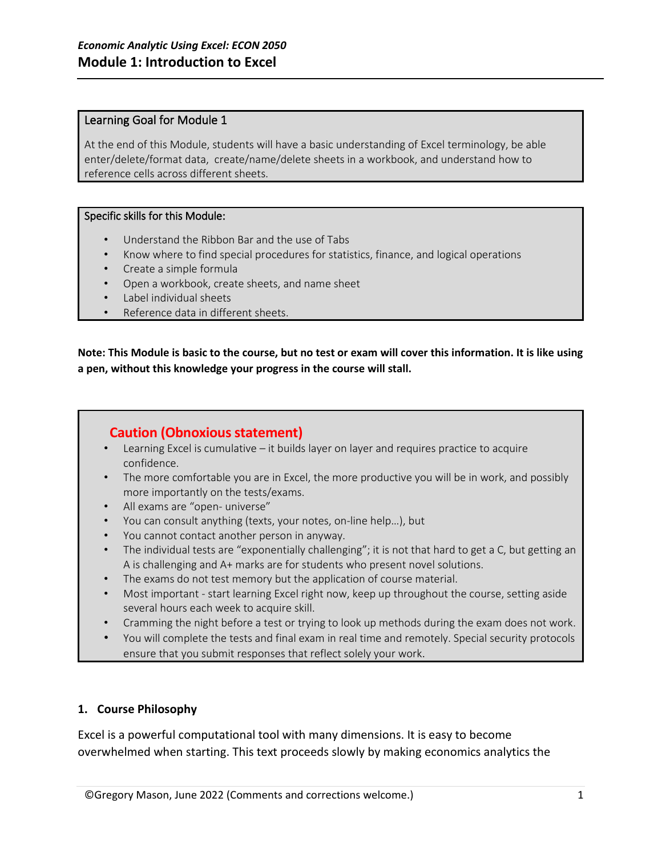## Learning Goal for Module 1

At the end of this Module, students will have a basic understanding of Excel terminology, be able enter/delete/format data, create/name/delete sheets in a workbook, and understand how to reference cells across different sheets.

## Specific skills for this Module:

- Understand the Ribbon Bar and the use of Tabs
- Know where to find special procedures for statistics, finance, and logical operations
- Create a simple formula
- Open a workbook, create sheets, and name sheet
- Label individual sheets
- Reference data in different sheets.

**Note: This Module is basic to the course, but no test or exam will cover this information. It is like using a pen, without this knowledge your progress in the course will stall.** 

## **Caution (Obnoxious statement)**

- Learning Excel is cumulative it builds layer on layer and requires practice to acquire confidence.
- The more comfortable you are in Excel, the more productive you will be in work, and possibly more importantly on the tests/exams.
- All exams are "open- universe"
- You can consult anything (texts, your notes, on-line help…), but
- You cannot contact another person in anyway.
- The individual tests are "exponentially challenging"; it is not that hard to get a C, but getting an A is challenging and A+ marks are for students who present novel solutions.
- The exams do not test memory but the application of course material.
- Most important start learning Excel right now, keep up throughout the course, setting aside several hours each week to acquire skill.
- Cramming the night before a test or trying to look up methods during the exam does not work.
- You will complete the tests and final exam in real time and remotely. Special security protocols ensure that you submit responses that reflect solely your work.

## **1. Course Philosophy**

Excel is a powerful computational tool with many dimensions. It is easy to become overwhelmed when starting. This text proceeds slowly by making economics analytics the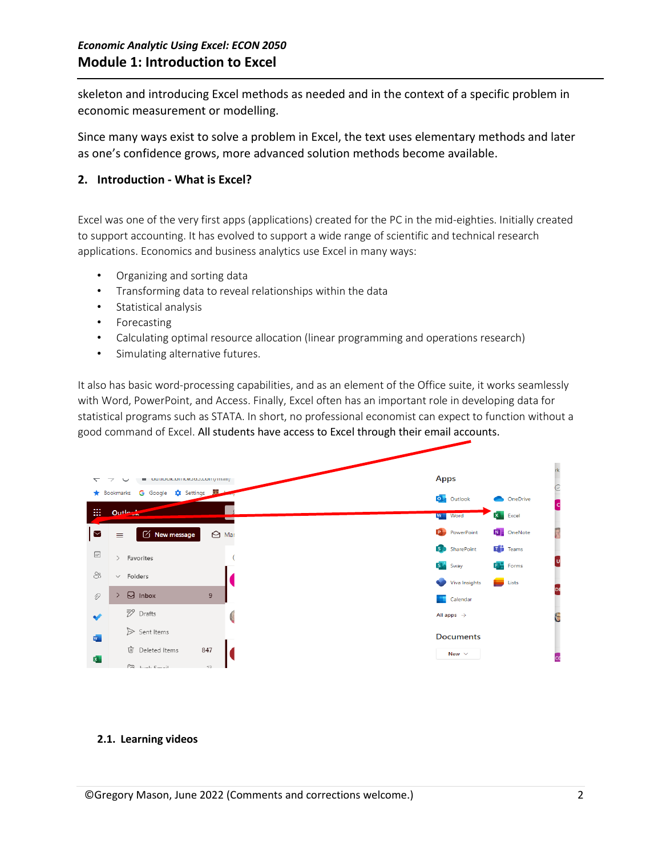skeleton and introducing Excel methods as needed and in the context of a specific problem in economic measurement or modelling.

Since many ways exist to solve a problem in Excel, the text uses elementary methods and later as one's confidence grows, more advanced solution methods become available.

## **2. Introduction - What is Excel?**

Excel was one of the very first apps (applications) created for the PC in the mid-eighties. Initially created to support accounting. It has evolved to support a wide range of scientific and technical research applications. Economics and business analytics use Excel in many ways:

- Organizing and sorting data
- Transforming data to reveal relationships within the data
- Statistical analysis
- Forecasting
- Calculating optimal resource allocation (linear programming and operations research)
- Simulating alternative futures.

It also has basic word-processing capabilities, and as an element of the Office suite, it works seamlessly with Word, PowerPoint, and Access. Finally, Excel often has an important role in developing data for statistical programs such as STATA. In short, no professional economist can expect to function without a good command of Excel. All students have access to Excel through their email accounts.



## **2.1. Learning videos**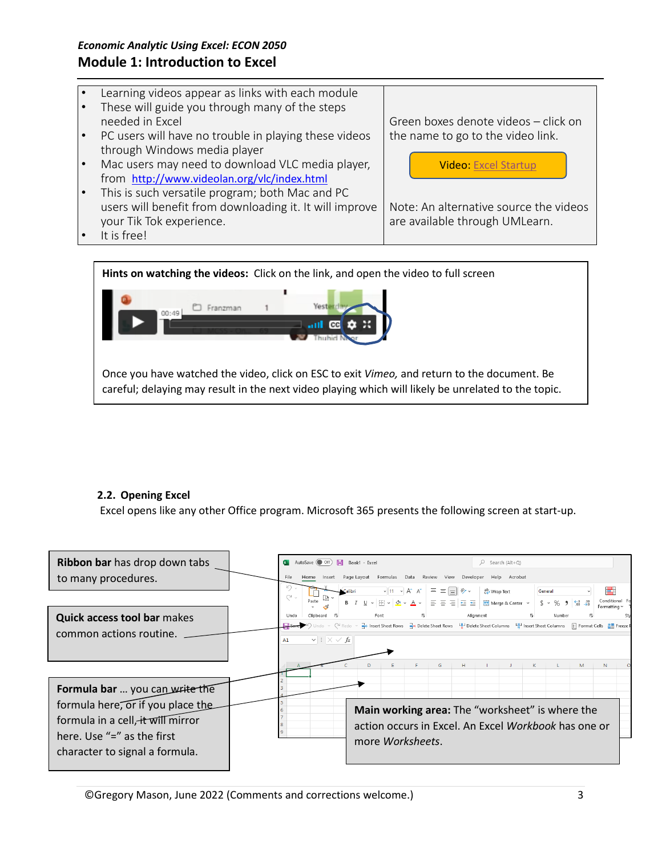- Learning videos appear as links with each module
- These will guide you through many of the steps needed in Excel
- PC users will have no trouble in playing these videos through Windows media player
- Mac users may need to download VLC media player, from <http://www.videolan.org/vlc/index.html>
- This is such versatile program; both Mac and PC users will benefit from downloading it. It will improve your Tik Tok experience.

It is free!

Green boxes denote videos – click on the name to go to the video link.

Video: [Excel Startup](https://vimeo.com/manage/videos/715438385)

Note: An alternative source the videos are available through UMLearn.

**Hints on watching the videos:** Click on the link, and open the video to full screen



Once you have watched the video, click on ESC to exit *Vimeo,* and return to the document. Be careful; delaying may result in the next video playing which will likely be unrelated to the topic.

## **2.2. Opening Excel**

Excel opens like any other Office program. Microsoft 365 presents the following screen at start-up.

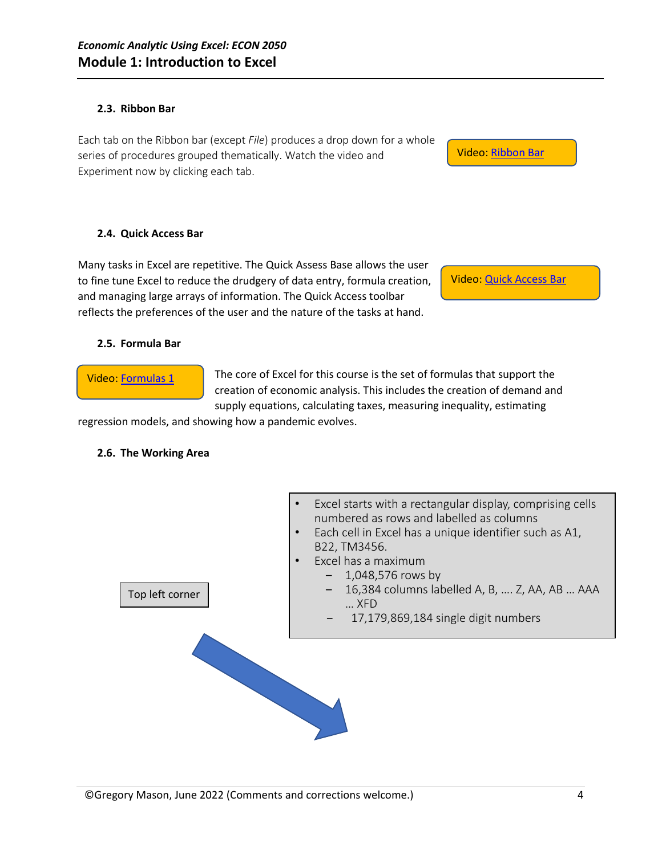#### **2.3. Ribbon Bar**

Each tab on the Ribbon bar (except *File*) produces a drop down for a whole series of procedures grouped thematically. Watch the video and Experiment now by clicking each tab.

**2.4. Quick Access Bar**

Many tasks in Excel are repetitive. The Quick Assess Base allows the user to fine tune Excel to reduce the drudgery of data entry, formula creation, and managing large arrays of information. The Quick Access toolbar reflects the preferences of the user and the nature of the tasks at hand.

Video[: Quick Access Bar](https://vimeo.com/manage/videos/715435060)

Video: [Ribbon Bar](https://vimeo.com/manage/videos/715435082)

#### **2.5. Formula Bar**

Video[: Formulas](https://vimeo.com/manage/videos/715435306) 1

The core of Excel for this course is the set of formulas that support the creation of economic analysis. This includes the creation of demand and supply equations, calculating taxes, measuring inequality, estimating

regression models, and showing how a pandemic evolves.

#### **2.6. The Working Area**

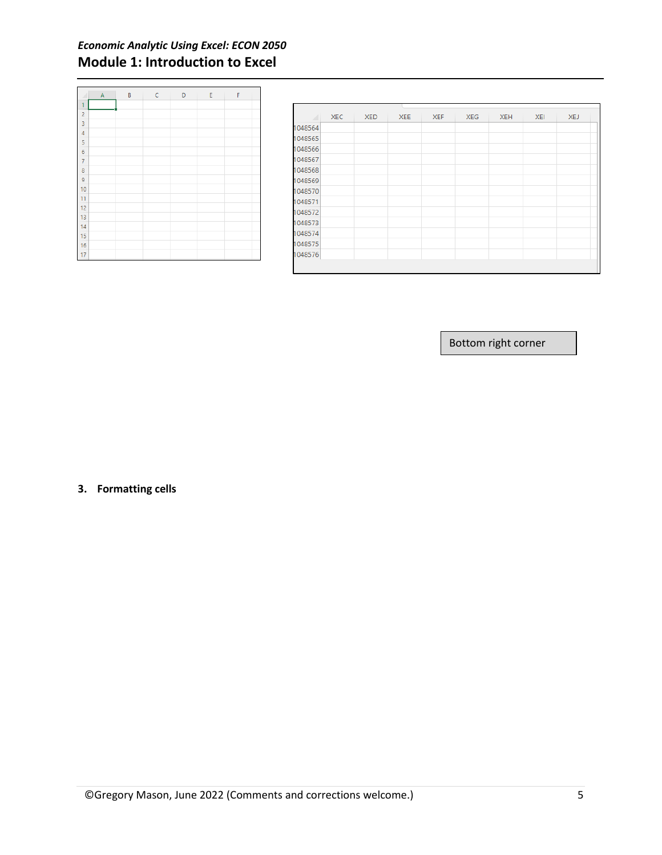# *Economic Analytic Using Excel: ECON 2050*  **Module 1: Introduction to Excel**

|                | $\mathsf A$ | B | $\mathsf{C}$ | D | E | F |  |
|----------------|-------------|---|--------------|---|---|---|--|
| 1              |             |   |              |   |   |   |  |
| $\overline{c}$ |             |   |              |   |   |   |  |
| $\overline{3}$ |             |   |              |   |   |   |  |
| $\overline{4}$ |             |   |              |   |   |   |  |
| 5              |             |   |              |   |   |   |  |
| 6              |             |   |              |   |   |   |  |
| $\bar{7}$      |             |   |              |   |   |   |  |
| 8              |             |   |              |   |   |   |  |
| 9              |             |   |              |   |   |   |  |
| 10             |             |   |              |   |   |   |  |
| 11             |             |   |              |   |   |   |  |
| 12             |             |   |              |   |   |   |  |
| 13             |             |   |              |   |   |   |  |
| 14             |             |   |              |   |   |   |  |
| 15             |             |   |              |   |   |   |  |
| 16             |             |   |              |   |   |   |  |
| 17             |             |   |              |   |   |   |  |

|         | <b>XEC</b> | <b>XED</b> | <b>XEE</b> | <b>XEF</b> | <b>XEG</b> | <b>XEH</b> | <b>XEI</b> | <b>XEJ</b> |
|---------|------------|------------|------------|------------|------------|------------|------------|------------|
| 1048564 |            |            |            |            |            |            |            |            |
| 1048565 |            |            |            |            |            |            |            |            |
| 1048566 |            |            |            |            |            |            |            |            |
| 1048567 |            |            |            |            |            |            |            |            |
| 1048568 |            |            |            |            |            |            |            |            |
| 1048569 |            |            |            |            |            |            |            |            |
| 1048570 |            |            |            |            |            |            |            |            |
| 1048571 |            |            |            |            |            |            |            |            |
| 1048572 |            |            |            |            |            |            |            |            |
| 1048573 |            |            |            |            |            |            |            |            |
| 1048574 |            |            |            |            |            |            |            |            |
| 1048575 |            |            |            |            |            |            |            |            |
| 1048576 |            |            |            |            |            |            |            |            |
|         |            |            |            |            |            |            |            |            |
|         |            |            |            |            |            |            |            |            |

Bottom right corner

## **3. Formatting cells**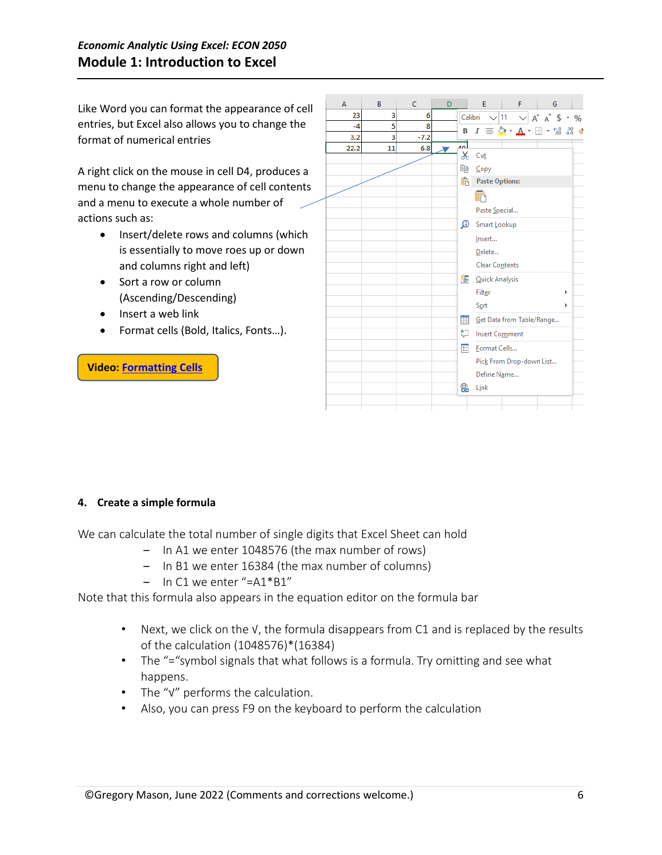Like Word you can format the appearance of cell entries, but Excel also allows you to change the format of numerical entries

A right click on the mouse in cell D4, produces a menu to change the appearance of cell contents and a menu to execute a whole number of actions such as:

- Insert/delete rows and columns (which is essentially to move roes up or down and columns right and left)
- Sort a row or column (Ascending/Descending)
- Insert a web link
- Format cells (Bold, Italics, Fonts…).

## **Video: [Formatting Cells](https://vimeo.com/manage/videos/715435207)**



## **4. Create a simple formula**

We can calculate the total number of single digits that Excel Sheet can hold

- In A1 we enter 1048576 (the max number of rows)
- In B1 we enter 16384 (the max number of columns)
- In C1 we enter "=A1\*B1"

Note that this formula also appears in the equation editor on the formula bar

- Next, we click on the √, the formula disappears from C1 and is replaced by the results of the calculation (1048576)\*(16384)
- The "="symbol signals that what follows is a formula. Try omitting and see what happens.
- The "√" performs the calculation.
- Also, you can press F9 on the keyboard to perform the calculation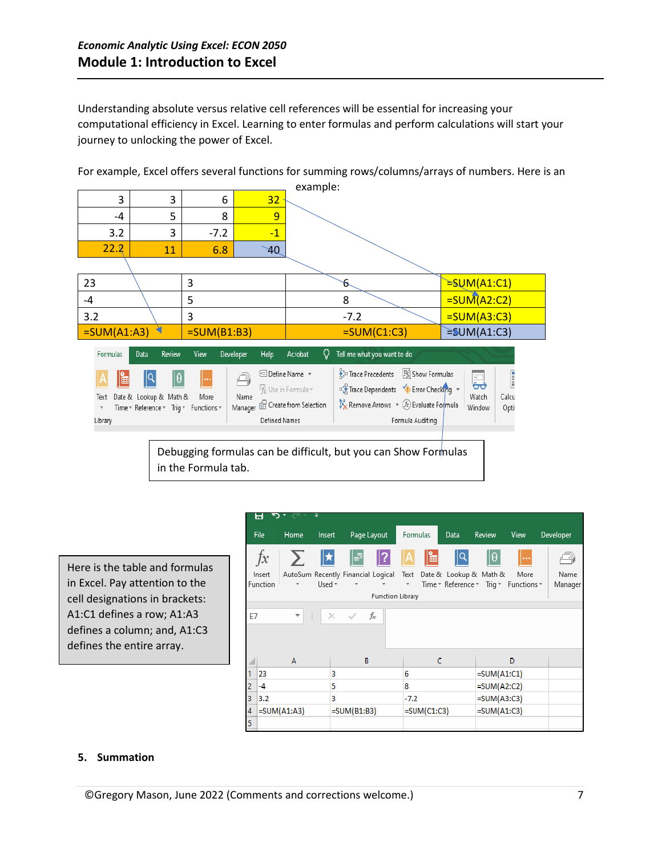Understanding absolute versus relative cell references will be essential for increasing your computational efficiency in Excel. Learning to enter formulas and perform calculations will start your journey to unlocking the power of Excel.

example: 3 3 6 32 -4 | 5 | 8 <mark>| 9</mark>  $3.2$   $3$   $-7.2$   $-1$  $22.2$  11 6.8 40 23  $\Big|$  3  $\Big|$  6  $=$ SUM(A1:C1)  $-4$   $\setminus$   $5$   $\setminus$  8  $\setminus$   $=$ SUM(A2:C2) 3.2  $\big|$  3  $\big|$  -7.2  $\big|$  =SUM(A3:C3)  $\overline{SUM(A1:A3)}$  =SUM(B1:B3) =  $\overline{SUM(C1:C3)}$  =SUM(A1:C3) Review Data View Developer Help  $Q$  Tell me what you want to do Formulas Acrobat ક, Trace Precedents | 2 Show Formulas [ © Define Name \* 1Q IΘ ਛ Ā o<sup>20</sup> Trace Dependents VI Error Checking v  $\mathcal{F}_{\mathbf{x}}$  Use in Formula  $\mathbf{v}$ Text Date & Lookup & Math & More Name Watch Calcu Name<br>Manager & Create from Selection  $\mathbb{R}$  Remove Arrows  $\sqrt{x}$  Evaluate Formula Time \* Reference \* Trig \* Functions \* Window Opti Formula Auditing Library **Defined Names** 

For example, Excel offers several functions for summing rows/columns/arrays of numbers. Here is an

Debugging formulas can be difficult, but you can Show Formulas in the Formula tab.

Here is the table and formulas in Excel. Pay attention to the cell designations in brackets: A1:C1 defines a row; A1:A3 defines a column; and, A1:C3 defines the entire array.

|           | ы<br>$\mathbf{D}$ , $\mathbf{D}$ |               |             |                                         |                         |                     |    |          |                        |                                       |           |
|-----------|----------------------------------|---------------|-------------|-----------------------------------------|-------------------------|---------------------|----|----------|------------------------|---------------------------------------|-----------|
|           | File                             | Home          | Insert      | Page Layout                             |                         | <b>Formulas</b>     |    | Data     | Review                 | View                                  | Developer |
|           | $f_{x}$                          |               | $\Sigma$  * |                                         | 8   ?                   | 'û                  | I⊯ | 19<br>19 | $  \theta$             |                                       |           |
|           | Insert                           |               |             | AutoSum Recently Financial Logical Text |                         |                     |    |          | Date & Lookup & Math & | More                                  | Name      |
|           | Function                         |               | Used *      | $\overline{\mathbf{v}}$                 |                         | $\scriptstyle\rm w$ |    |          |                        | Time * Reference * Trig * Functions * | Manager   |
|           |                                  |               |             |                                         | <b>Function Library</b> |                     |    |          |                        |                                       |           |
|           |                                  |               |             |                                         |                         |                     |    |          |                        |                                       |           |
| <b>E7</b> |                                  | ÷             | $\bigoplus$ | $\times$ $\checkmark$                   | fx                      |                     |    |          |                        |                                       |           |
|           |                                  |               |             |                                         |                         |                     |    |          |                        |                                       |           |
|           |                                  |               |             |                                         |                         |                     |    |          |                        |                                       |           |
|           |                                  |               |             |                                         |                         |                     |    |          |                        |                                       |           |
|           |                                  | A             |             | B                                       |                         |                     | C  |          |                        | D                                     |           |
|           | 23                               |               | 3           |                                         |                         | 6                   |    |          | $=SUM(A1:C1)$          |                                       |           |
| 2         | -4                               |               | 5           |                                         |                         | 8                   |    |          | $=SUM(A2:C2)$          |                                       |           |
| 3         | 3.2                              |               | 3           |                                         |                         | $-7.2$              |    |          | $=SUM(A3:C3)$          |                                       |           |
| 4         |                                  | $=SUM(A1:A3)$ |             | $=SUM(B1:B3)$                           |                         | $=SUM(C1:C3)$       |    |          | $=SUM(A1:C3)$          |                                       |           |
| 5         |                                  |               |             |                                         |                         |                     |    |          |                        |                                       |           |

#### **5. Summation**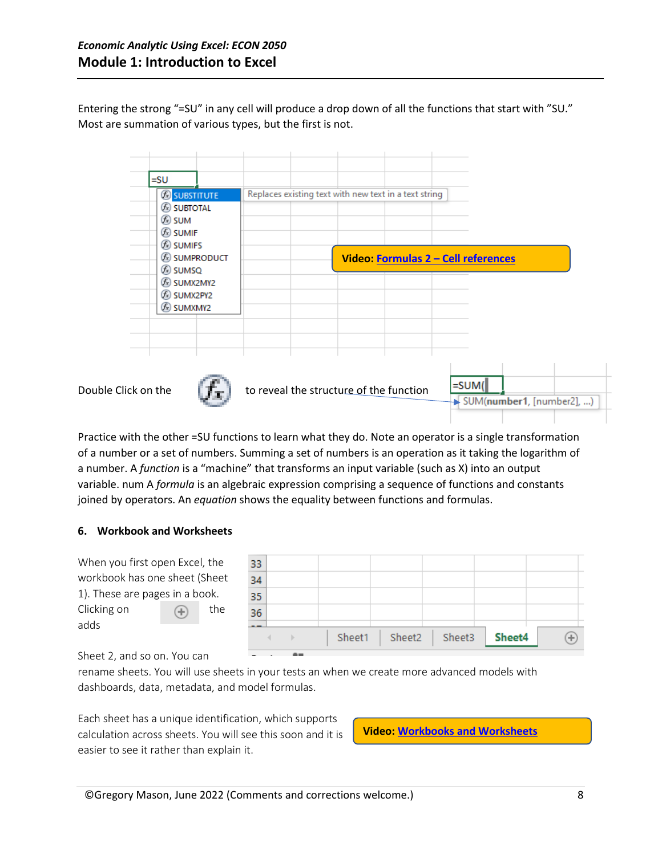Entering the strong "=SU" in any cell will produce a drop down of all the functions that start with "SU." Most are summation of various types, but the first is not.

|                     | <b>B</b> SUBSTITUTE<br>$\mathcal{L}$ subtotal<br>$E$ sum<br><b>E</b> sumif<br>$\mathcal{F}_x$ sumifs<br><b>E</b> sumProduct<br>$\mathcal{F}$ sumsq<br>$\circled{f}$ sumx2MY2<br><b>E</b> sumx2PY2<br><b>E</b> sumxmy2 |  |                                         | Replaces existing text with new text in a text string<br>Video: Formulas 2 - Cell references |          |  |                           |
|---------------------|-----------------------------------------------------------------------------------------------------------------------------------------------------------------------------------------------------------------------|--|-----------------------------------------|----------------------------------------------------------------------------------------------|----------|--|---------------------------|
| Double Click on the |                                                                                                                                                                                                                       |  | to reveal the structure of the function |                                                                                              | $=$ SUM( |  | SUM(number1, [number2], ) |

Practice with the other =SU functions to learn what they do. Note an operator is a single transformation of a number or a set of numbers. Summing a set of numbers is an operation as it taking the logarithm of a number. A *function* is a "machine" that transforms an input variable (such as X) into an output variable. num A *formula* is an algebraic expression comprising a sequence of functions and constants joined by operators. An *equation* shows the equality between functions and formulas.

## **6. Workbook and Worksheets**



#### Sheet 2, and so on. You can

rename sheets. You will use sheets in your tests an when we create more advanced models with dashboards, data, metadata, and model formulas.

Each sheet has a unique identification, which supports calculation across sheets. You will see this soon and it is easier to see it rather than explain it.

**Video: [Workbooks and Worksheets](https://vimeo.com/manage/videos/715443558)**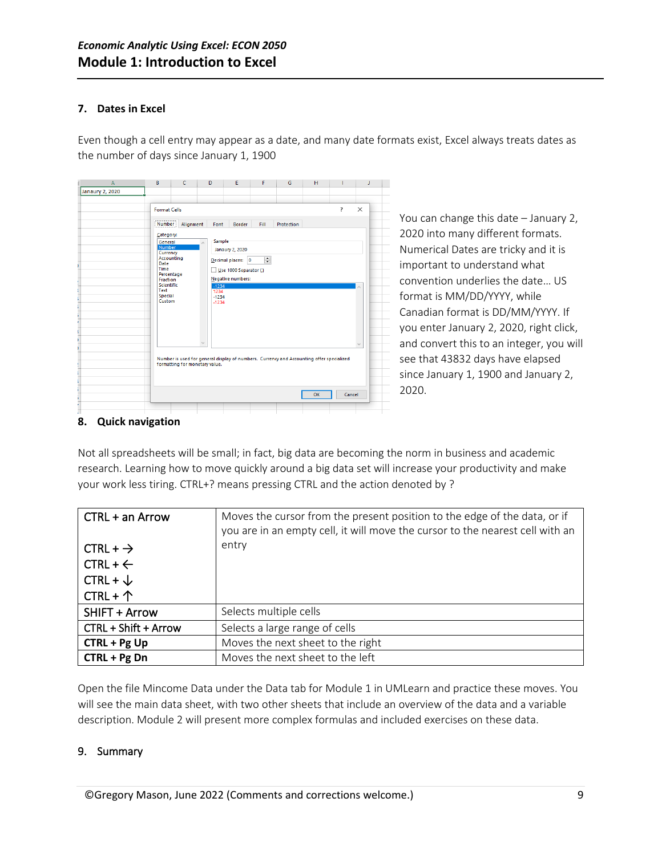#### **7. Dates in Excel**

Even though a cell entry may appear as a date, and many date formats exist, Excel always treats dates as the number of days since January 1, 1900

| $\overline{A}$  | B                   | c                              | D               | E                      | F                     | G                                                                                        | н  |   |               |
|-----------------|---------------------|--------------------------------|-----------------|------------------------|-----------------------|------------------------------------------------------------------------------------------|----|---|---------------|
| Janaury 2, 2020 |                     |                                |                 |                        |                       |                                                                                          |    |   |               |
|                 |                     |                                |                 |                        |                       |                                                                                          |    |   |               |
|                 | <b>Format Cells</b> |                                |                 |                        |                       |                                                                                          |    | ? | $\times$      |
|                 |                     |                                |                 |                        |                       |                                                                                          |    |   |               |
|                 | Number              | Alignment                      | Font            | <b>Border</b>          | Fill                  | Protection                                                                               |    |   |               |
|                 | Category:           |                                |                 |                        |                       |                                                                                          |    |   |               |
|                 | General<br>Number   |                                | Sample          |                        |                       |                                                                                          |    |   |               |
|                 | Currency            |                                |                 | <b>Janaury 2, 2020</b> |                       |                                                                                          |    |   |               |
|                 | Accounting<br>Date  |                                |                 | Decimal places: 0      | $\left  \div \right $ |                                                                                          |    |   |               |
|                 | Time<br>Percentage  |                                |                 | Use 1000 Separator ()  |                       |                                                                                          |    |   |               |
|                 | <b>Fraction</b>     |                                |                 | Negative numbers:      |                       |                                                                                          |    |   |               |
|                 | Scientific<br>Text  |                                | $-1234$<br>1234 |                        |                       |                                                                                          |    |   |               |
|                 | Special             |                                | $-1234$         |                        |                       |                                                                                          |    |   |               |
|                 | Custom              |                                | $-1234$         |                        |                       |                                                                                          |    |   |               |
|                 |                     |                                |                 |                        |                       |                                                                                          |    |   |               |
|                 |                     |                                |                 |                        |                       |                                                                                          |    |   |               |
|                 |                     |                                |                 |                        |                       |                                                                                          |    |   |               |
|                 |                     |                                |                 |                        |                       |                                                                                          |    |   |               |
|                 |                     |                                |                 |                        |                       |                                                                                          |    |   | $\mathcal{A}$ |
|                 |                     |                                |                 |                        |                       | Number is used for general display of numbers. Currency and Accounting offer specialized |    |   |               |
|                 |                     | formatting for monetary value. |                 |                        |                       |                                                                                          |    |   |               |
|                 |                     |                                |                 |                        |                       |                                                                                          |    |   |               |
|                 |                     |                                |                 |                        |                       |                                                                                          |    |   |               |
|                 |                     |                                |                 |                        |                       |                                                                                          | OK |   | Cancel        |
|                 |                     |                                |                 |                        |                       |                                                                                          |    |   |               |
|                 |                     |                                |                 |                        |                       |                                                                                          |    |   |               |

You can change this date – January 2, 2020 into many different formats. Numerical Dates are tricky and it is important to understand what convention underlies the date… US format is MM/DD/YYYY, while Canadian format is DD/MM/YYYY. If you enter January 2, 2020, right click, and convert this to an integer, you will see that 43832 days have elapsed since January 1, 1900 and January 2, 2020.

## **8. Quick navigation**

Not all spreadsheets will be small; in fact, big data are becoming the norm in business and academic research. Learning how to move quickly around a big data set will increase your productivity and make your work less tiring. CTRL+? means pressing CTRL and the action denoted by ?

| CTRL + an Arrow      | Moves the cursor from the present position to the edge of the data, or if<br>you are in an empty cell, it will move the cursor to the nearest cell with an |
|----------------------|------------------------------------------------------------------------------------------------------------------------------------------------------------|
| $CTRL + \rightarrow$ | entry                                                                                                                                                      |
| $CTRL + \leftarrow$  |                                                                                                                                                            |
| $CTRL + \sqrt{ }$    |                                                                                                                                                            |
| CTRL + $\uparrow$    |                                                                                                                                                            |
| <b>SHIFT + Arrow</b> | Selects multiple cells                                                                                                                                     |
| CTRL + Shift + Arrow | Selects a large range of cells                                                                                                                             |
| $CTRL + Pg Up$       | Moves the next sheet to the right                                                                                                                          |
| $CTRL + Pg$ Dn       | Moves the next sheet to the left                                                                                                                           |

Open the file Mincome Data under the Data tab for Module 1 in UMLearn and practice these moves. You will see the main data sheet, with two other sheets that include an overview of the data and a variable description. Module 2 will present more complex formulas and included exercises on these data.

## 9. Summary